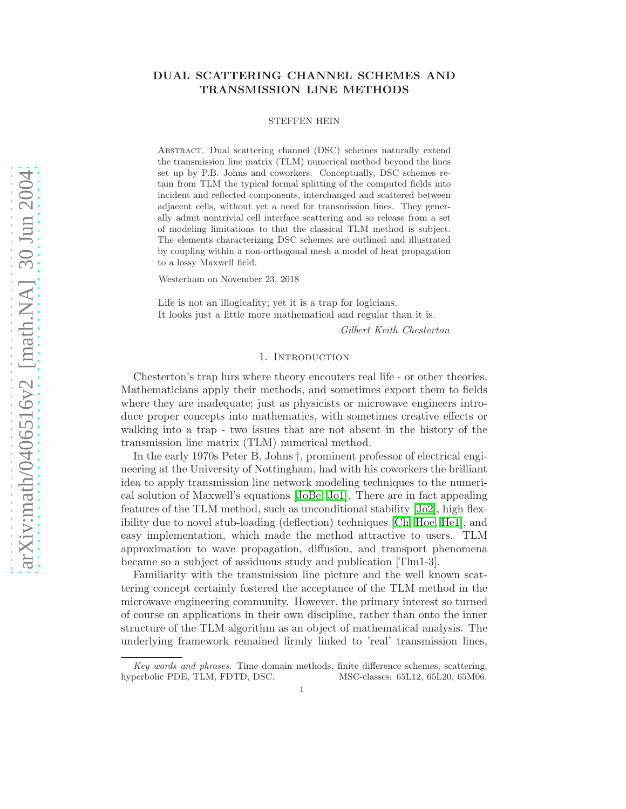# DUAL SCATTERING CHANNEL SCHEMES AND TRANSMISSION LINE METHODS

#### STEFFEN HEIN

Abstract. Dual scattering channel (DSC) schemes naturally extend the transmission line matrix (TLM) numerical method beyond the lines set up by P.B. Johns and coworkers. Conceptually, DSC schemes retain from TLM the typical formal splitting of the computed fields into incident and reflected components, interchanged and scattered between adjacent cells, without yet a need for transmission lines. They generally admit nontrivial cell interface scattering and so release from a set of modeling limitations to that the classical TLM method is subject. The elements characterizing DSC schemes are outlined and illustrated by coupling within a non-orthogonal mesh a model of heat propagation to a lossy Maxwell field.

Westerham on November 23, 2018

Life is not an illogicality; yet it is a trap for logicians. It looks just a little more mathematical and regular than it is.

Gilbert Keith Chesterton

#### 1. Introduction

Chesterton's trap lurs where theory encouters real life - or other theories. Mathematicians apply their methods, and sometimes export them to fields where they are inadequate; just as physicists or microwave engineers introduce proper concepts into mathematics, with sometimes creative effects or walking into a trap - two issues that are not absent in the history of the transmission line matrix (TLM) numerical method.

In the early 1970s Peter B. Johns †, prominent professor of electrical engineering at the University of Nottingham, had with his coworkers the brilliant idea to apply transmission line network modeling techniques to the numerical solution of Maxwell's equations [\[JoBe,](#page-12-0) [Jo1\]](#page-12-1). There are in fact appealing features of the TLM method, such as unconditional stability [\[Jo2\]](#page-12-2), high flexibility due to novel stub-loading (deflection) techniques [\[Ch,](#page-12-3) [Hoe,](#page-12-4) [He1\]](#page-12-5), and easy implementation, which made the method attractive to users. TLM approximation to wave propagation, diffusion, and transport phenomena became so a subject of assiduous study and publication [Tlm1-3].

Familiarity with the transmission line picture and the well known scattering concept certainly fostered the acceptance of the TLM method in the microwave engineering community. However, the primary interest so turned of course on applications in their own discipline, rather than onto the inner structure of the TLM algorithm as an object of mathematical analysis. The underlying framework remained firmly linked to 'real' transmission lines,

Key words and phrases. Time domain methods, finite difference schemes, scattering, hyperbolic PDE, TLM, FDTD, DSC. MSC-classes: 65L12, 65L20, 65M06.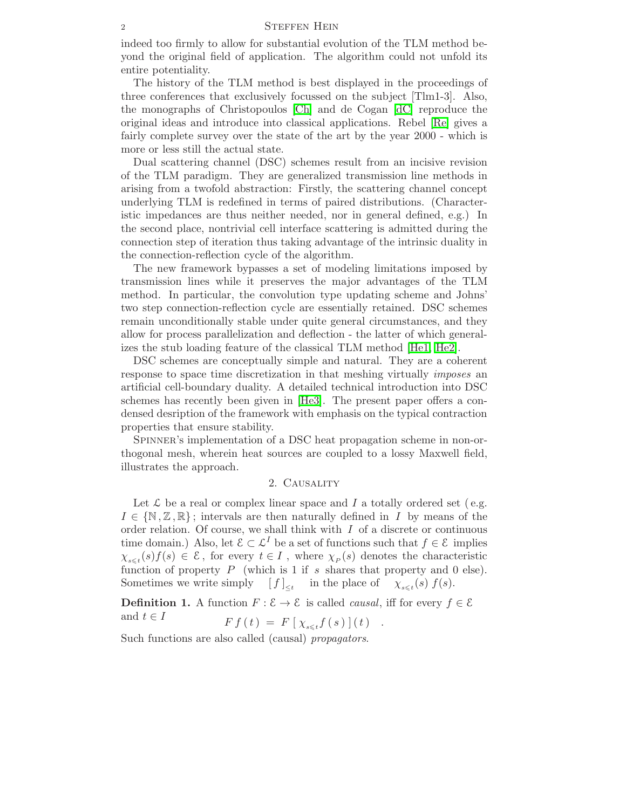indeed too firmly to allow for substantial evolution of the TLM method beyond the original field of application. The algorithm could not unfold its entire potentiality.

The history of the TLM method is best displayed in the proceedings of three conferences that exclusively focussed on the subject [Tlm1-3]. Also, the monographs of Christopoulos [\[Ch\]](#page-12-3) and de Cogan [\[dC\]](#page-12-6) reproduce the original ideas and introduce into classical applications. Rebel [\[Re\]](#page-12-7) gives a fairly complete survey over the state of the art by the year 2000 - which is more or less still the actual state.

Dual scattering channel (DSC) schemes result from an incisive revision of the TLM paradigm. They are generalized transmission line methods in arising from a twofold abstraction: Firstly, the scattering channel concept underlying TLM is redefined in terms of paired distributions. (Characteristic impedances are thus neither needed, nor in general defined, e.g.) In the second place, nontrivial cell interface scattering is admitted during the connection step of iteration thus taking advantage of the intrinsic duality in the connection-reflection cycle of the algorithm.

The new framework bypasses a set of modeling limitations imposed by transmission lines while it preserves the major advantages of the TLM method. In particular, the convolution type updating scheme and Johns' two step connection-reflection cycle are essentially retained. DSC schemes remain unconditionally stable under quite general circumstances, and they allow for process parallelization and deflection - the latter of which generalizes the stub loading feature of the classical TLM method [\[He1,](#page-12-5) [He2\]](#page-12-8).

DSC schemes are conceptually simple and natural. They are a coherent response to space time discretization in that meshing virtually *imposes* an artificial cell-boundary duality. A detailed technical introduction into DSC schemes has recently been given in [\[He3\]](#page-13-0). The present paper offers a condensed desription of the framework with emphasis on the typical contraction properties that ensure stability.

<span id="page-1-0"></span>Spinner's implementation of a DSC heat propagation scheme in non-orthogonal mesh, wherein heat sources are coupled to a lossy Maxwell field, illustrates the approach.

## 2. Causality

Let  $\mathcal L$  be a real or complex linear space and I a totally ordered set (e.g.  $I \in \{N, \mathbb{Z}, \mathbb{R}\}$ ; intervals are then naturally defined in I by means of the order relation. Of course, we shall think with  $I$  of a discrete or continuous time domain.) Also, let  $\mathcal{E} \subset \mathcal{L}^I$  be a set of functions such that  $f \in \mathcal{E}$  implies  $\chi_{s\leq t}(s) f(s) \in \mathcal{E}$ , for every  $t \in I$ , where  $\chi_P(s)$  denotes the characteristic function of property  $P$  (which is 1 if s shares that property and 0 else). Sometimes we write simply  $[f]_{\leq t}$  in the place of  $\chi_{s\leq t}(s) f(s)$ .

**Definition 1.** A function  $F : \mathcal{E} \to \mathcal{E}$  is called *causal*, iff for every  $f \in \mathcal{E}$ and  $t \in I$ 

$$
F f(t) = F [ \chi_{s \leq t} f(s)](t) .
$$

Such functions are also called (causal) *propagators*.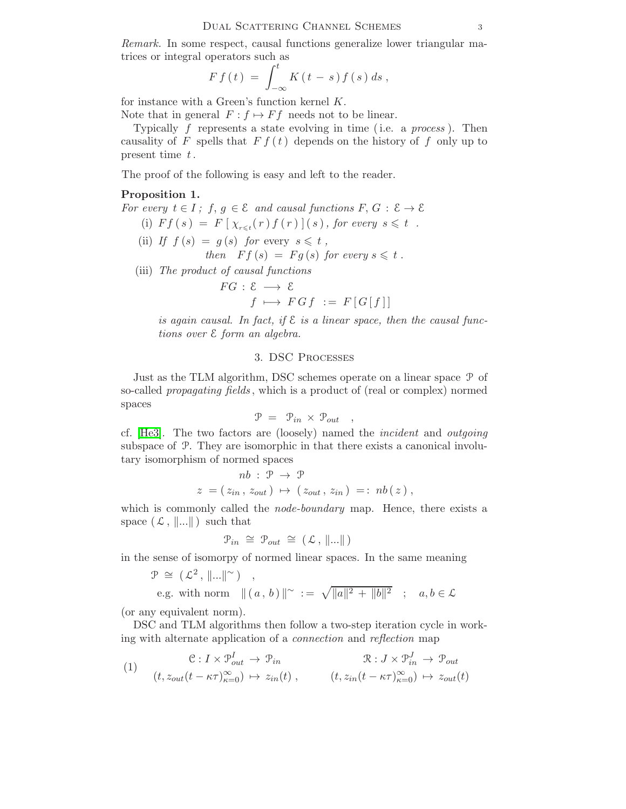Remark. In some respect, causal functions generalize lower triangular matrices or integral operators such as

$$
F f(t) = \int_{-\infty}^{t} K(t-s) f(s) ds,
$$

for instance with a Green's function kernel K.

Note that in general  $F : f \mapsto Ff$  needs not to be linear.

Typically  $f$  represents a state evolving in time (i.e. a *process*). Then causality of F spells that  $F f(t)$  depends on the history of f only up to present time  $t$ .

The proof of the following is easy and left to the reader.

### Proposition 1.

For every  $t \in I$ ;  $f, g \in \mathcal{E}$  and causal functions  $F, G : \mathcal{E} \to \mathcal{E}$ 

- (i)  $Ff(s) = F[\chi_{r \leq t}(r) f(r)](s)$ , for every  $s \leq t$ .
- (ii) If  $f(s) = g(s)$  for every  $s \leq t$ , then  $F f (s) = F g (s)$  for every  $s \leq t$ .
- (iii) The product of causal functions

$$
FG: \mathcal{E} \longrightarrow \mathcal{E}
$$
  

$$
f \longmapsto FGf := F[G[f]]
$$

is again causal. In fact, if  $\mathcal E$  is a linear space, then the causal functions over E form an algebra.

### 3. DSC Processes

<span id="page-2-1"></span>Just as the TLM algorithm, DSC schemes operate on a linear space P of so-called *propagating fields*, which is a product of (real or complex) normed spaces

$$
\mathcal{P} = \mathcal{P}_{in} \times \mathcal{P}_{out} ,
$$

cf. [\[He3\]](#page-13-0). The two factors are (loosely) named the incident and outgoing subspace of P. They are isomorphic in that there exists a canonical involutary isomorphism of normed spaces

$$
nb: \mathcal{P} \rightarrow \mathcal{P}
$$
  

$$
z = (z_{in}, z_{out}) \mapsto (z_{out}, z_{in}) =: nb(z),
$$

which is commonly called the *node-boundary* map. Hence, there exists a space  $(\mathcal{L}, \|\ldots\|)$  such that

$$
\mathcal{P}_{in} \cong \mathcal{P}_{out} \cong (\mathcal{L}, \|\ldots\|)
$$

in the sense of isomorpy of normed linear spaces. In the same meaning

$$
\mathcal{P} \cong (\mathcal{L}^2, \|\ldots\|^{\sim}) ,
$$
  
e.g. with norm  $||(a, b)||^{\sim} := \sqrt{||a||^2 + ||b||^2} ; a, b \in \mathcal{L}$ 

(or any equivalent norm).

<span id="page-2-0"></span>DSC and TLM algorithms then follow a two-step iteration cycle in working with alternate application of a connection and reflection map

(1) 
$$
\mathcal{C}: I \times \mathcal{P}_{out}^{I} \to \mathcal{P}_{in} \qquad \mathcal{R}: J \times \mathcal{P}_{in}^{J} \to \mathcal{P}_{out}
$$

$$
(t, z_{out}(t - \kappa \tau)_{\kappa=0}^{\infty}) \mapsto z_{in}(t), \qquad (t, z_{in}(t - \kappa \tau)_{\kappa=0}^{\infty}) \mapsto z_{out}(t)
$$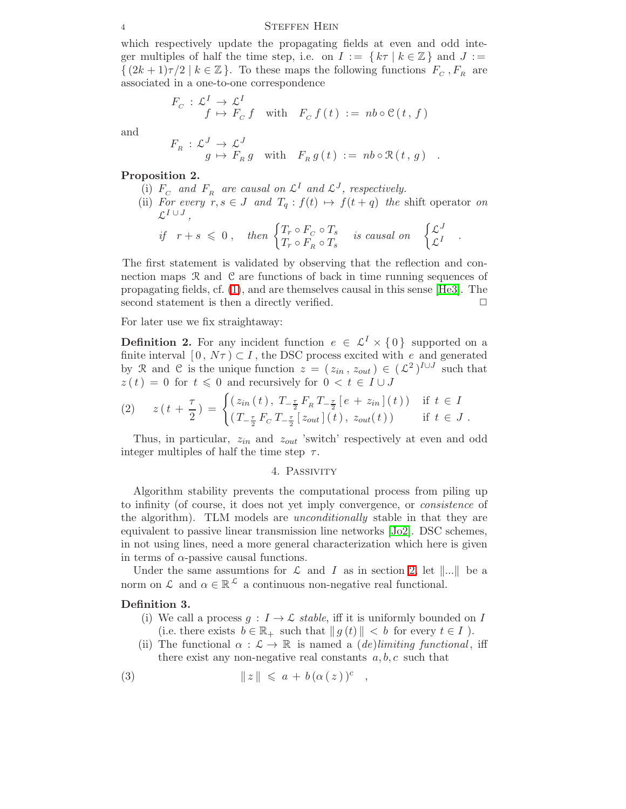which respectively update the propagating fields at even and odd integer multiples of half the time step, i.e. on  $I := \{ k \tau \mid k \in \mathbb{Z} \}$  and  $J :=$  $\{(2k+1)\tau/2 \mid k \in \mathbb{Z}\}\.$  To these maps the following functions  $F_C$ ,  $F_R$  are associated in a one-to-one correspondence

$$
F_C: \mathcal{L}^I \to \mathcal{L}^I
$$
  

$$
f \mapsto F_C f \quad \text{with} \quad F_C f(t) := nb \circ \mathcal{C}(t, f)
$$

and

$$
F_R: \mathcal{L}^J \to \mathcal{L}^J
$$
  

$$
g \mapsto F_R g \quad \text{with} \quad F_R g(t) := nb \circ \mathcal{R}(t, g) .
$$

### Proposition 2.

- (i)  $F_C$  and  $F_R$  are causal on  $\mathcal{L}^I$  and  $\mathcal{L}^J$ , respectively. (ii) For every  $r, s \in J$  and  $T_q : f(t) \mapsto f(t + q)$  the shift operator on  $\mathcal{L}^{I\; \cup \; J}$  ,
	- if  $r + s \leq 0$ , then  $\begin{cases} T_r \circ F_c \circ T_s \end{cases}$  $T_r \circ F_C \circ T_s$  is causal on  $\begin{cases} \mathcal{L}^J \\ \mathcal{L}^I \end{cases}$  $\widetilde{\mathcal{L}}^I$  .

The first statement is validated by observing that the reflection and connection maps  $\mathcal R$  and  $\mathcal C$  are functions of back in time running sequences of propagating fields, cf. [\(1\)](#page-2-0), and are themselves causal in this sense [\[He3\]](#page-13-0). The second statement is then a directly verified.  $\Box$ 

<span id="page-3-1"></span>For later use we fix straightaway:

**Definition 2.** For any incident function  $e \in \mathcal{L}^I \times \{0\}$  supported on a finite interval  $[0, N\tau) \subset I$ , the DSC process excited with e and generated by R and C is the unique function  $z = (z_{in}, z_{out}) \in (\mathcal{L}^2)^{I \cup J}$  such that  $z(t) = 0$  for  $t \leq 0$  and recursively for  $0 < t \in I \cup J$ 

$$
(2) \t z(t + \frac{\tau}{2}) = \begin{cases} (z_{in}(t), T_{-\frac{\tau}{2}} F_{R} T_{-\frac{\tau}{2}} [e + z_{in}] (t)) & \text{if } t \in I \\ (T_{-\frac{\tau}{2}} F_{C} T_{-\frac{\tau}{2}} [z_{out}] (t), z_{out}(t)) & \text{if } t \in J. \end{cases}
$$

Thus, in particular,  $z_{in}$  and  $z_{out}$  'switch' respectively at even and odd integer multiples of half the time step  $\tau$ .

### <span id="page-3-0"></span>4. Passivity

Algorithm stability prevents the computational process from piling up to infinity (of course, it does not yet imply convergence, or consistence of the algorithm). TLM models are *unconditionally* stable in that they are equivalent to passive linear transmission line networks [\[Jo2\]](#page-12-2). DSC schemes, in not using lines, need a more general characterization which here is given in terms of  $\alpha$ -passive causal functions.

Under the same assumtions for  $\mathcal L$  and  $I$  as in section [2,](#page-1-0) let  $\|\ldots\|$  be a norm on  $\mathcal L$  and  $\alpha \in \mathbb{R}^{\mathcal L}$  a continuous non-negative real functional.

### Definition 3.

- (i) We call a process  $g: I \to \mathcal{L}$  stable, iff it is uniformly bounded on I (i.e. there exists  $b \in \mathbb{R}_+$  such that  $||g(t)|| < b$  for every  $t \in I$ ).
- (ii) The functional  $\alpha : \mathcal{L} \to \mathbb{R}$  is named a *(de)limiting functional*, iff there exist any non-negative real constants  $a, b, c$  such that

(3) 
$$
\|z\| \leqslant a + b(\alpha(z))^c ,
$$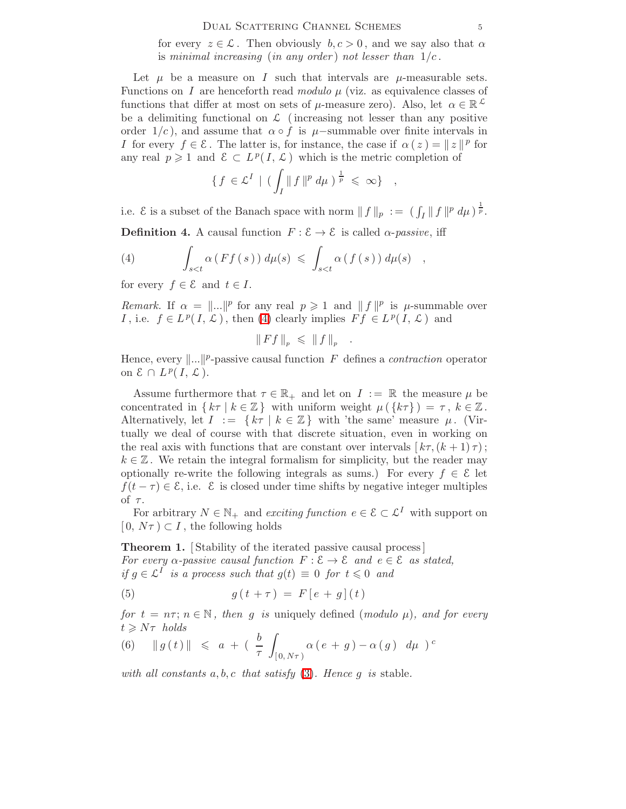#### DUAL SCATTERING CHANNEL SCHEMES 5

for every  $z \in \mathcal{L}$ . Then obviously  $b, c > 0$ , and we say also that  $\alpha$ is minimal increasing (in any order) not lesser than  $1/c$ .

Let  $\mu$  be a measure on I such that intervals are  $\mu$ -measurable sets. Functions on I are henceforth read modulo  $\mu$  (viz. as equivalence classes of functions that differ at most on sets of  $\mu$ -measure zero). Also, let  $\alpha \in \mathbb{R}^{\mathcal{L}}$ be a delimiting functional on  $\mathcal L$  (increasing not lesser than any positive order  $1/c$ , and assume that  $\alpha \circ f$  is  $\mu$ –summable over finite intervals in I for every  $f \in \mathcal{E}$ . The latter is, for instance, the case if  $\alpha(z) = ||z||^p$  for any real  $p \geq 1$  and  $\mathcal{E} \subset L^p(I, \mathcal{L})$  which is the metric completion of

$$
\{f \in \mathcal{L}^I \mid (\int_I ||f||^p d\mu)^{\frac{1}{p}} \leq \infty\} ,
$$

<span id="page-4-4"></span>i.e.  $\mathcal E$  is a subset of the Banach space with norm  $|| f ||_p := (\int_I ||f||^p d\mu)^{\frac{1}{p}}$ .

**Definition 4.** A causal function  $F : \mathcal{E} \to \mathcal{E}$  is called  $\alpha$ -passive, iff

(4) 
$$
\int_{s
$$

for every  $f \in \mathcal{E}$  and  $t \in I$ .

Remark. If  $\alpha = ||...||^p$  for any real  $p \geq 1$  and  $|| f ||^p$  is  $\mu$ -summable over *I*, i.e.  $f \in L^p(I, \mathcal{L})$ , then [\(4\)](#page-4-0) clearly implies  $Ff \in L^p(I, \mathcal{L})$  and

$$
\|Ff\|_p \leqslant \|f\|_p
$$

<span id="page-4-0"></span>.

Hence, every  $\|\ldots\|^p$ -passive causal function F defines a *contraction* operator on  $\mathcal{E} \cap L^p(I, \mathcal{L})$ .

Assume furthermore that  $\tau \in \mathbb{R}_+$  and let on  $I := \mathbb{R}$  the measure  $\mu$  be concentrated in  $\{k\tau \mid k \in \mathbb{Z}\}\$  with uniform weight  $\mu(\{k\tau\}) = \tau, k \in \mathbb{Z}$ . Alternatively, let  $I := \{ k \tau \mid k \in \mathbb{Z} \}$  with 'the same' measure  $\mu$ . (Virtually we deal of course with that discrete situation, even in working on the real axis with functions that are constant over intervals  $\left[ k\tau,(k+1)\tau\right]$ ;  $k \in \mathbb{Z}$ . We retain the integral formalism for simplicity, but the reader may optionally re-write the following integrals as sums.) For every  $f \in \mathcal{E}$  let  $f(t - \tau) \in \mathcal{E}$ , i.e.  $\mathcal{E}$  is closed under time shifts by negative integer multiples of  $\tau$ .

<span id="page-4-3"></span>For arbitrary  $N \in \mathbb{N}_+$  and exciting function  $e \in \mathcal{E} \subset \mathcal{L}^I$  with support on  $[0, N\tau) \subset I$ , the following holds

<span id="page-4-1"></span>**Theorem 1.** [Stability of the iterated passive causal process] For every  $\alpha$ -passive causal function  $F : \mathcal{E} \to \mathcal{E}$  and  $e \in \mathcal{E}$  as stated, if  $g \in \mathcal{L}^I$  is a process such that  $g(t) \equiv 0$  for  $t \leq 0$  and

$$
(5) \t\t g(t+\tau) = F[e+g](t)
$$

<span id="page-4-2"></span>for  $t = n\tau$ ;  $n \in \mathbb{N}$ , then q is uniquely defined (modulo  $\mu$ ), and for every  $t \geqslant N\tau$  holds

(6) 
$$
||g(t)|| \le a + (\frac{b}{\tau} \int_{[0, N\tau)} \alpha(e+g) - \alpha(g) d\mu)^c
$$

with all constants  $a, b, c$  that satisfy [\(3\)](#page-3-0). Hence g is stable.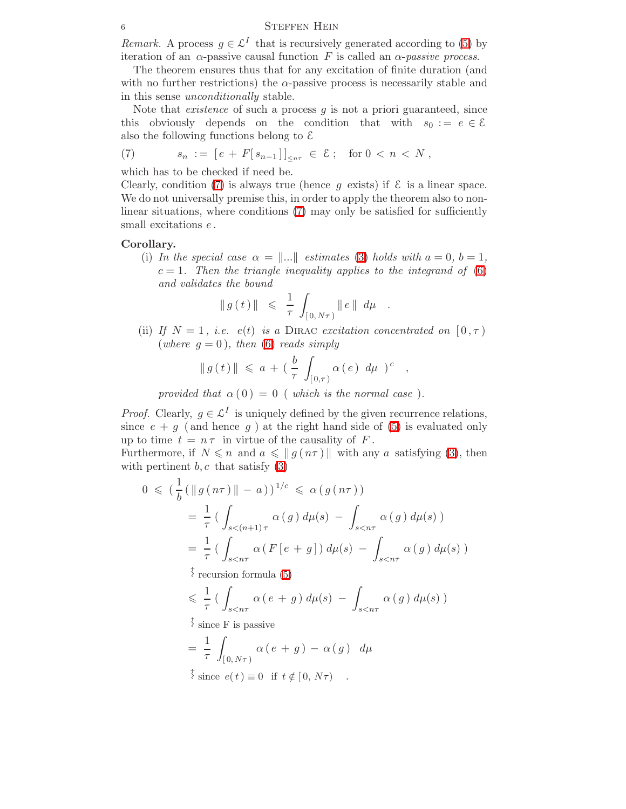Remark. A process  $g \in \mathcal{L}^I$  that is recursively generated according to [\(5\)](#page-4-1) by iteration of an  $\alpha$ -passive causal function F is called an  $\alpha$ -passive process.

The theorem ensures thus that for any excitation of finite duration (and with no further restrictions) the  $\alpha$ -passive process is necessarily stable and in this sense unconditionally stable.

<span id="page-5-0"></span>Note that *existence* of such a process  $q$  is not a priori guaranteed, since this obviously depends on the condition that with  $s_0 := e \in \mathcal{E}$ also the following functions belong to  $\mathcal E$ 

(7) 
$$
s_n := [e + F[s_{n-1}]]_{\leq n\tau} \in \mathcal{E}; \text{ for } 0 < n < N
$$
,

which has to be checked if need be.

Clearly, condition [\(7\)](#page-5-0) is always true (hence g exists) if  $\mathcal E$  is a linear space. We do not universally premise this, in order to apply the theorem also to nonlinear situations, where conditions [\(7\)](#page-5-0) may only be satisfied for sufficiently small excitations  $e$ .

### Corollary.

(i) In the special case  $\alpha = ||...||$  estimates [\(3\)](#page-3-0) holds with  $a = 0, b = 1$ ,  $c = 1$ . Then the triangle inequality applies to the integrand of [\(6\)](#page-4-2) and validates the bound

$$
|| g(t) || \le \frac{1}{\tau} \int_{[0, N\tau)} ||e|| d\mu
$$
.

(ii) If  $N = 1$ , i.e.  $e(t)$  is a DIRAC excitation concentrated on  $[0, \tau)$ (where  $q = 0$ ), then [\(6\)](#page-4-2) reads simply

$$
|| g(t) || \leq a + \left( \frac{b}{\tau} \int_{[0,\tau)} \alpha(e) d\mu \right)^c ,
$$

provided that  $\alpha(0) = 0$  ( which is the normal case).

*Proof.* Clearly,  $g \in \mathcal{L}^I$  is uniquely defined by the given recurrence relations, since  $e + g$  (and hence g) at the right hand side of [\(5\)](#page-4-1) is evaluated only up to time  $t = n \tau$  in virtue of the causality of F.

Furthermore, if  $N \leq n$  and  $a \leq \|g(n\tau)\|$  with any a satisfying [\(3\)](#page-3-0), then with pertinent  $b, c$  that satisfy  $(3)$ 

$$
0 \leqslant \left(\frac{1}{b} \left(\|g(n\tau)\| - a\right)\right)^{1/c} \leqslant \alpha\left(g(n\tau)\right)
$$
  

$$
= \frac{1}{\tau} \left(\int_{s < (n+1)\tau} \alpha\left(g\right) d\mu(s) - \int_{s < n\tau} \alpha\left(g\right) d\mu(s)\right)
$$
  

$$
= \frac{1}{\tau} \left(\int_{s < n\tau} \alpha\left(F\left[e + g\right]\right) d\mu(s) - \int_{s < n\tau} \alpha\left(g\right) d\mu(s)\right)
$$
  

$$
\hat{\gamma} \text{ recursion formula (5)}
$$

1 r

$$
\leq \frac{1}{\tau} \left( \int_{s < n\tau} \alpha(e + g) \, d\mu(s) \, - \, \int_{s < n\tau} \alpha(g) \, d\mu(s) \right)
$$

since F is passive

$$
= \frac{1}{\tau} \int_{[0, N\tau)} \alpha (e + g) - \alpha (g) d\mu
$$
  

$$
\hat{\xi} \text{ since } e(t) \equiv 0 \text{ if } t \notin [0, N\tau) .
$$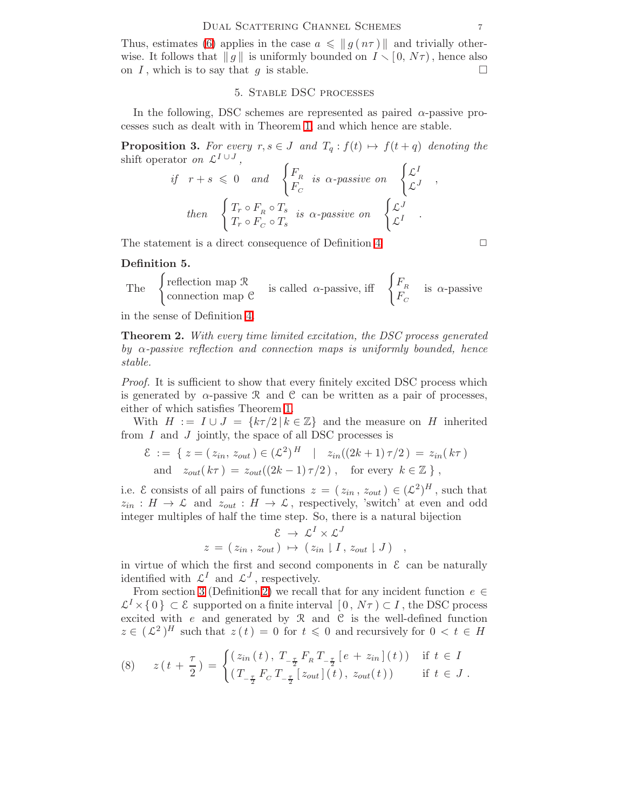Thus, estimates [\(6\)](#page-4-2) applies in the case  $a \leq \|g(n\tau)\|$  and trivially otherwise. It follows that  $||g||$  is uniformly bounded on  $I \setminus [0, N\tau)$ , hence also on I, which is to say that g is stable.

### 5. Stable DSC processes

<span id="page-6-1"></span>In the following, DSC schemes are represented as paired  $\alpha$ -passive processes such as dealt with in Theorem [1,](#page-4-3) and which hence are stable.

**Proposition 3.** For every  $r, s \in J$  and  $T_q : f(t) \mapsto f(t + q)$  denoting the shift operator on  $\mathcal{L}^{I \cup J}$ ,

if 
$$
r+s \le 0
$$
 and  $\begin{cases} F_R \\ F_C \end{cases}$  is  $\alpha$ -passive on  $\begin{cases} \mathcal{L}^I \\ \mathcal{L}^J \end{cases}$ ,  
then  $\begin{cases} T_r \circ F_R \circ T_s \\ T_r \circ F_C \circ T_s \end{cases}$  is  $\alpha$ -passive on  $\begin{cases} \mathcal{L}^J \\ \mathcal{L}^I \end{cases}$ .

The statement is a direct consequence of Definition [4](#page-4-4)  $\Box$ 

### Definition 5.

The 
$$
\begin{cases} \text{reflection map } \mathcal{R} \\ \text{connection map } \mathcal{C} \end{cases}
$$
 is called  $\alpha$ -passive, iff  $\begin{cases} F_R \\ F_C \end{cases}$  is  $\alpha$ -passive

in the sense of Definition [4.](#page-4-4)

Theorem 2. With every time limited excitation, the DSC process generated by  $\alpha$ -passive reflection and connection maps is uniformly bounded, hence stable.

*Proof.* It is sufficient to show that every finitely excited DSC process which is generated by  $\alpha$ -passive R and C can be written as a pair of processes, either of which satisfies Theorem [1.](#page-4-3)

With  $H := I \cup J = \{k\tau/2 \mid k \in \mathbb{Z}\}\$  and the measure on H inherited from  $I$  and  $J$  jointly, the space of all DSC processes is

$$
\mathcal{E} := \{ z = (z_{in}, z_{out}) \in (\mathcal{L}^2)^H \mid z_{in}((2k+1)\tau/2) = z_{in}(k\tau) \text{ and } z_{out}(k\tau) = z_{out}((2k-1)\tau/2), \text{ for every } k \in \mathbb{Z} \},
$$

i.e.  $\mathcal{E}$  consists of all pairs of functions  $z = (z_{in}, z_{out}) \in (\mathcal{L}^2)^H$ , such that  $z_{in}: H \to \mathcal{L}$  and  $z_{out}: H \to \mathcal{L}$ , respectively, 'switch' at even and odd integer multiples of half the time step. So, there is a natural bijection

$$
\mathcal{E} \rightarrow \mathcal{L}^I \times \mathcal{L}^J
$$
  

$$
z = (z_{in}, z_{out}) \rightarrow (z_{in} | I, z_{out} | J) ,
$$

in virtue of which the first and second components in  $\mathcal E$  can be naturally identified with  $\mathcal{L}^{I}$  and  $\mathcal{L}^{J}$ , respectively.

From section [3](#page-2-1) (Definition [2\)](#page-3-1) we recall that for any incident function  $e \in$  $\mathcal{L}^I \times \{0\} \subset \mathcal{E}$  supported on a finite interval  $[0, N\tau) \subset I$ , the DSC process excited with  $e$  and generated by  $\mathcal{R}$  and  $\mathcal{C}$  is the well-defined function  $z \in (\mathcal{L}^2)^H$  such that  $z(t) = 0$  for  $t \leq 0$  and recursively for  $0 < t \in H$ 

<span id="page-6-0"></span>(8) 
$$
z(t + \frac{\tau}{2}) = \begin{cases} (z_{in}(t), T_{-\frac{\tau}{2}} F_R T_{-\frac{\tau}{2}} [e + z_{in}] (t)) & \text{if } t \in I \\ (T_{-\frac{\tau}{2}} F_C T_{-\frac{\tau}{2}} [z_{out}] (t), z_{out}(t)) & \text{if } t \in J. \end{cases}
$$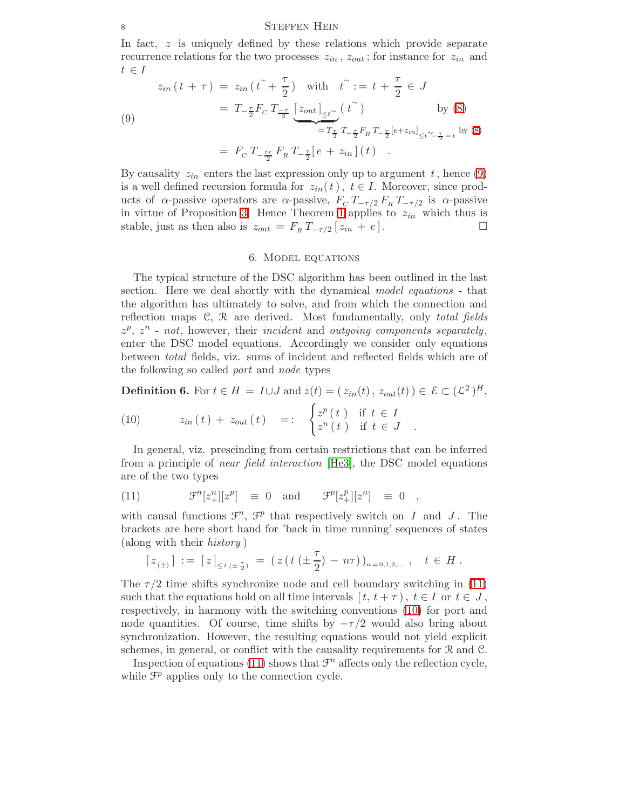<span id="page-7-0"></span>In fact, z is uniquely defined by these relations which provide separate recurrence relations for the two processes  $z_{in}$ ,  $z_{out}$ ; for instance for  $z_{in}$  and  $t \in I$ 

(9)  
\n
$$
z_{in}(t + \tau) = z_{in}(t^{\tilde{r}} + \frac{\tau}{2}) \text{ with } t^{\tilde{r}} := t + \frac{\tau}{2} \in J
$$
\n
$$
= T_{-\frac{\tau}{2}} F_C T_{\frac{-\tau}{2}} \underbrace{[z_{out}]}_{\leq t^{\tilde{r}}} (t^{\tilde{r}}) \text{ by (8)}
$$
\n
$$
= F_C T_{-\frac{t\tau}{2}} F_R T_{-\frac{\tau}{2}} [e + z_{in}] (t)
$$
\n
$$
= F_C T_{-\frac{t\tau}{2}} F_R T_{-\frac{\tau}{2}} [e + z_{in}] (t)
$$

By causality  $z_{in}$  enters the last expression only up to argument t, hence [\(9\)](#page-7-0) is a well defined recursion formula for  $z_{in}(t)$ ,  $t \in I$ . Moreover, since products of  $\alpha$ -passive operators are  $\alpha$ -passive,  $F_C T_{-\tau/2} F_R T_{-\tau/2}$  is  $\alpha$ -passive in virtue of Proposition [3.](#page-6-1) Hence Theorem [1](#page-4-3) applies to  $z_{in}$  which thus is stable, just as then also is  $z_{out} = F_R T_{-\tau/2} [z_{in} + e]$ .

### 6. Model equations

The typical structure of the DSC algorithm has been outlined in the last section. Here we deal shortly with the dynamical model equations - that the algorithm has ultimately to solve, and from which the connection and reflection maps  $C, \mathcal{R}$  are derived. Most fundamentally, only total fields  $z^p$ ,  $z^n$  - not, however, their incident and outgoing components separately, enter the DSC model equations. Accordingly we consider only equations between total fields, viz. sums of incident and reflected fields which are of the following so called port and node types

<span id="page-7-2"></span>**Definition 6.** For  $t \in H = I \cup J$  and  $z(t) = (z_{in}(t), z_{out}(t)) \in \mathcal{E} \subset (\mathcal{L}^2)^H$ ,

(10) 
$$
z_{in}(t) + z_{out}(t) =: \begin{cases} z^p(t) & \text{if } t \in I \\ z^n(t) & \text{if } t \in J \end{cases}
$$

<span id="page-7-1"></span>In general, viz. prescinding from certain restrictions that can be inferred from a principle of *near field interaction* [\[He3\]](#page-13-0), the DSC model equations are of the two types

(11) 
$$
\mathcal{F}^n[z_+^n][z^p] \equiv 0 \text{ and } \mathcal{F}^p[z_+^p][z^n] \equiv 0 ,
$$

with causal functions  $\mathcal{F}^n$ ,  $\mathcal{F}^p$  that respectively switch on I and J. The brackets are here short hand for 'back in time running' sequences of states (along with their history )

$$
[z_{(\pm)}]:=[z]_{\leq t\,(\pm\frac{\tau}{2})}=(z(t(\pm\frac{\tau}{2})-n\tau))_{n=0,1,2,...},\quad t\in H.
$$

The  $\tau/2$  time shifts synchronize node and cell boundary switching in [\(11\)](#page-7-1) such that the equations hold on all time intervals  $[t, t + \tau)$ ,  $t \in I$  or  $t \in J$ , respectively, in harmony with the switching conventions [\(10\)](#page-7-2) for port and node quantities. Of course, time shifts by  $-\tau/2$  would also bring about synchronization. However, the resulting equations would not yield explicit schemes, in general, or conflict with the causality requirements for R and C.

Inspection of equations [\(11\)](#page-7-1) shows that  $\mathcal{F}^n$  affects only the reflection cycle, while  $\mathcal{F}^p$  applies only to the connection cycle.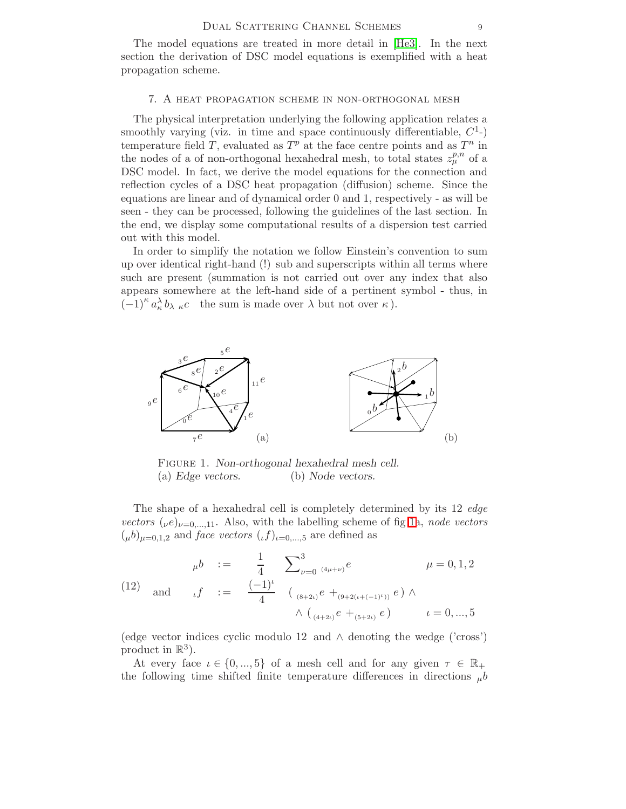The model equations are treated in more detail in [\[He3\]](#page-13-0). In the next section the derivation of DSC model equations is exemplified with a heat propagation scheme.

### 7. A heat propagation scheme in non-orthogonal mesh

The physical interpretation underlying the following application relates a smoothly varying (viz. in time and space continuously differentiable,  $C<sup>1</sup>$ -) temperature field T, evaluated as  $T^p$  at the face centre points and as  $T^n$  in the nodes of a of non-orthogonal hexahedral mesh, to total states  $z_{\mu}^{p,n}$  of a DSC model. In fact, we derive the model equations for the connection and reflection cycles of a DSC heat propagation (diffusion) scheme. Since the equations are linear and of dynamical order 0 and 1, respectively - as will be seen - they can be processed, following the guidelines of the last section. In the end, we display some computational results of a dispersion test carried out with this model.

In order to simplify the notation we follow Einstein's convention to sum up over identical right-hand (!) sub and superscripts within all terms where such are present (summation is not carried out over any index that also appears somewhere at the left-hand side of a pertinent symbol - thus, in  $(-1)^{\kappa} a_{\kappa}^{\lambda} b_{\lambda} {\kappa} c$  the sum is made over  $\lambda$  but not over  $\kappa$ ).



<span id="page-8-0"></span>Figure 1. Non-orthogonal hexahedral mesh cell. (a) Edge vectors. (b) Node vectors.

The shape of a hexahedral cell is completely determined by its 12 *edge* vectors  $(\nu e)_{\nu=0,...,11}$ . Also, with the labelling scheme of fig [1a](#page-8-0), node vectors  $(\mu b)_{\mu=0,1,2}$  and *face vectors*  $(\iota f)_{\iota=0,\dots,5}$  are defined as

(12) and 
$$
\mu b := \frac{1}{4} \sum_{\nu=0}^{3} \frac{(\mu + \nu)^e}{(\mu + 2\mu)^e} \mu = 0, 1, 2
$$
  

$$
\mu = 0, 1, 2
$$

$$
\mu = 0, 1, 2
$$

$$
\mu = 0, 1, 2
$$

$$
\mu = 0, 1, 2
$$

$$
\mu = 0, 1, 2
$$

$$
\mu = 0, 1, 2
$$

$$
\mu = 0, 1, 2
$$

$$
\mu = 0, 1, 2
$$

$$
\mu = 0, 1, 2
$$

$$
\mu = 0, 1, 2
$$

$$
\mu = 0, 1, 2
$$

$$
\mu = 0, 1, 2
$$

(edge vector indices cyclic modulo 12 and ∧ denoting the wedge ('cross') product in  $\mathbb{R}^3$ ).

At every face  $\iota \in \{0, ..., 5\}$  of a mesh cell and for any given  $\tau \in \mathbb{R}_+$ the following time shifted finite temperature differences in directions  $_{\mu}b$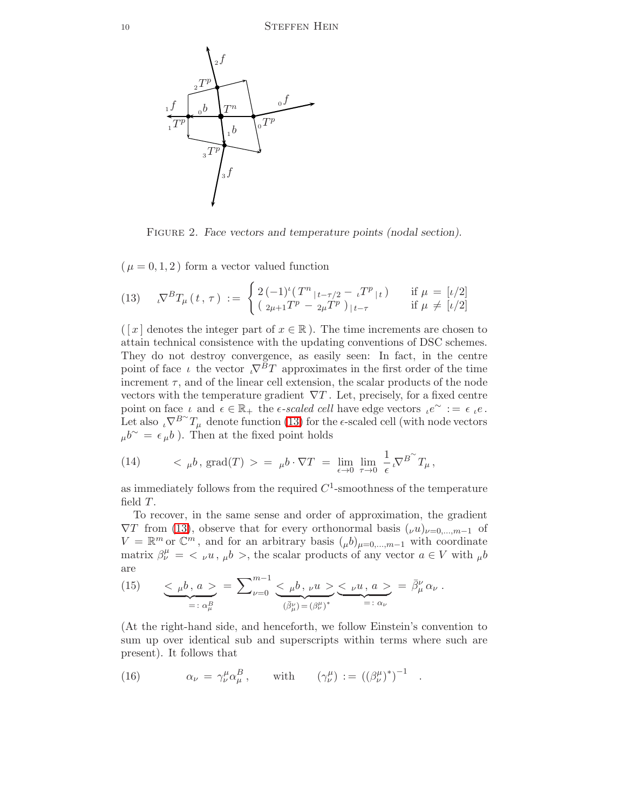

<span id="page-9-0"></span>FIGURE 2. Face vectors and temperature points (nodal section).

 $(\mu = 0, 1, 2)$  form a vector valued function

(13) 
$$
\nabla^B T_\mu(t, \tau) := \begin{cases} 2(-1)^t (T^n|_{t-\tau/2} - \iota T^p|_{t}) & \text{if } \mu = [\iota/2] \\ (\iota_{2\mu+1} T^p - \iota_{2\mu} T^p)|_{t-\tau} & \text{if } \mu \neq [\iota/2] \end{cases}
$$

(  $[x]$  denotes the integer part of  $x \in \mathbb{R}$ ). The time increments are chosen to attain technical consistence with the updating conventions of DSC schemes. They do not destroy convergence, as easily seen: In fact, in the centre point of face  $\iota$  the vector  $\iota \nabla^B T$  approximates in the first order of the time increment  $\tau$ , and of the linear cell extension, the scalar products of the node vectors with the temperature gradient  $\nabla T$ . Let, precisely, for a fixed centre point on face  $\iota$  and  $\epsilon \in \mathbb{R}_+$  the  $\epsilon$ -scaled cell have edge vectors  $\iota e^{\sim} := \epsilon \iota e$ . Let also  $\iota \nabla^{B}^{\sim} T_{\mu}$  denote function [\(13\)](#page-9-0) for the  $\epsilon$ -scaled cell (with node vectors  $\mu b^{\sim} = \epsilon \mu b$ ). Then at the fixed point holds

<span id="page-9-1"></span>(14) 
$$
\langle \mu b, \text{grad}(T) \rangle = \mu b \cdot \nabla T = \lim_{\epsilon \to 0} \lim_{\tau \to 0} \frac{1}{\epsilon} \nabla^{B} T_{\mu},
$$

as immediately follows from the required  $C^1$ -smoothness of the temperature field T.

To recover, in the same sense and order of approximation, the gradient  $\nabla T$  from [\(13\)](#page-9-0), observe that for every orthonormal basis  $(\nu u)_{\nu=0,\dots,m-1}$  of  $V = \mathbb{R}^m$  or  $\mathbb{C}^m$ , and for an arbitrary basis  $({}_\mu b)_{\mu=0,\dots,m-1}$  with coordinate matrix  $\beta^{\mu}_{\nu} = \langle \nu u, \mu b \rangle$ , the scalar products of any vector  $a \in V$  with  $\mu b$ are

(15) 
$$
\underbrace{\langle \mu b, a \rangle}_{=: \alpha_{\mu}^{B}} = \sum_{\nu=0}^{m-1} \underbrace{\langle \mu b, \nu u \rangle}_{(\bar{\beta}_{\mu}^{\nu}) = (\beta_{\nu}^{\mu})^{*}} \underbrace{\langle \nu u, a \rangle}_{=: \alpha_{\nu}} = \bar{\beta}_{\mu}^{\nu} \alpha_{\nu}.
$$

<span id="page-9-2"></span>(At the right-hand side, and henceforth, we follow Einstein's convention to sum up over identical sub and superscripts within terms where such are present). It follows that

(16) 
$$
\alpha_{\nu} = \gamma_{\nu}^{\mu} \alpha_{\mu}^{B}, \quad \text{with} \quad (\gamma_{\nu}^{\mu}) := ((\beta_{\nu}^{\mu})^{*})^{-1}.
$$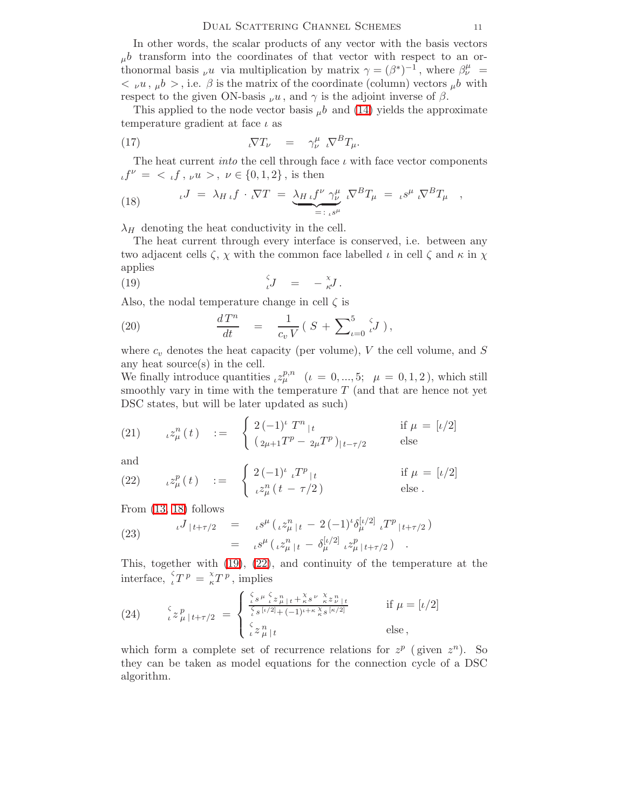### DUAL SCATTERING CHANNEL SCHEMES 11

In other words, the scalar products of any vector with the basis vectors  $_{\mu}b$  transform into the coordinates of that vector with respect to an orthonormal basis  $\nu u$  via multiplication by matrix  $\gamma = (\beta^*)^{-1}$ , where  $\beta^{\mu}_{\nu} =$  $\langle v_1, u_2 \rangle$ , i.e.  $\beta$  is the matrix of the coordinate (column) vectors  $\alpha b$  with respect to the given ON-basis  $\nu u$ , and  $\gamma$  is the adjoint inverse of  $\beta$ .

This applied to the node vector basis  $\mu b$  and [\(14\)](#page-9-1) yields the approximate temperature gradient at face  $\iota$  as

(17) 
$$
\nabla T_{\nu} = \gamma_{\nu}^{\mu} \nabla^B T_{\mu}.
$$

<span id="page-10-0"></span>The heat current *into* the cell through face  $\iota$  with face vector components  $\iota t^{\nu} = \langle \iota f, \nu u \rangle, \nu \in \{0, 1, 2\},$  is then

(18) 
$$
\iota J = \lambda_{H \iota} f \cdot \iota \nabla T = \underbrace{\lambda_{H \iota} f^{\nu} \gamma_{\nu}^{\mu}}_{=: \iota^{S^{\mu}}} \iota \nabla^{B} T_{\mu} = \iota^{S^{\mu}} \iota \nabla^{B} T_{\mu} ,
$$

 $\lambda_H$  denoting the heat conductivity in the cell.

<span id="page-10-1"></span>The heat current through every interface is conserved, i.e. between any two adjacent cells  $\zeta$ ,  $\chi$  with the common face labelled  $\iota$  in cell  $\zeta$  and  $\kappa$  in  $\chi$ applies

$$
\Big(\hspace{.04cm}19\Big)\hspace{1.5cm}\Big\{\hspace{.04cm}J\hspace{.4cm}\Big\}\hspace{.5cm} =\hspace{.5cm}\Big\{\hspace{.04cm} -\hspace{.04cm}\stackrel{\chi}{\kappa}J\hspace{.4cm}\Big\}.
$$

<span id="page-10-3"></span>Also, the nodal temperature change in cell  $\zeta$  is

(20) 
$$
\frac{dT^n}{dt} = \frac{1}{c_v V} (S + \sum_{\iota=0}^5 \iota J),
$$

where  $c_v$  denotes the heat capacity (per volume), V the cell volume, and S any heat source(s) in the cell.

<span id="page-10-4"></span>We finally introduce quantities  $_{\iota}z_{\mu}^{p,n}$  ( $\iota = 0, ..., 5;$   $\mu = 0, 1, 2$ ), which still smoothly vary in time with the temperature  $T$  (and that are hence not yet DSC states, but will be later updated as such)

(21) 
$$
\iota^{2n}(t) := \begin{cases} 2(-1)^t T^n|t & \text{if } \mu = [\iota/2] \\ (2\mu + 1T^p - 2\mu T^p)|t - \tau/2 & \text{else} \end{cases}
$$

<span id="page-10-2"></span>and

(22) 
$$
z_{\mu}^{p}(t) := \begin{cases} 2(-1)^{\iota} {}_{\iota} T^{p}{}_{|t} & \text{if } \mu = [\iota/2] \\ {}_{\iota} z_{\mu}^{n}(t - \tau/2) & \text{else.} \end{cases}
$$

<span id="page-10-5"></span>From [\(13,](#page-9-0) [18\)](#page-10-0) follows

(23) 
$$
\iota^{J} |t+\tau/2 = \iota^{g^{\mu}} (\iota^{g^{\eta}}) |t-2(-1)^{\iota} \delta^{[\iota/2]}_{\mu} \iota^{T^{p}} |t+\tau/2) \n= \iota^{g^{\mu}} (\iota^{g^{\eta}}) |t-\delta^{[\iota/2]}_{\mu} \iota^{g^p} |t+\tau/2).
$$

<span id="page-10-6"></span>This, together with [\(19\)](#page-10-1), [\(22\)](#page-10-2), and continuity of the temperature at the interface,  ${}_{\iota}^{\zeta}T^p = \frac{\chi}{\kappa}T^p$ , implies

(24) 
$$
\frac{\zeta}{\iota} z_{\mu}^p|_{t+\tau/2} = \begin{cases} \frac{\zeta}{\iota} s^{\mu} \frac{\zeta}{\iota} z_{\mu}^n|_{t} + \frac{\chi}{\kappa} s^{\nu} \frac{\chi}{\kappa} z_{\nu}^n|_{t}}{\zeta_{s}[\iota/2] + (-1)^{\iota+\kappa} \frac{\chi}{\kappa} s^{\lceil \kappa/2 \rceil}} & \text{if } \mu = [\iota/2] \\ \frac{\zeta}{\iota} z_{\mu}^n|_{t} & \text{else,} \end{cases}
$$

which form a complete set of recurrence relations for  $z^p$  (given  $z^n$ ). So they can be taken as model equations for the connection cycle of a DSC algorithm.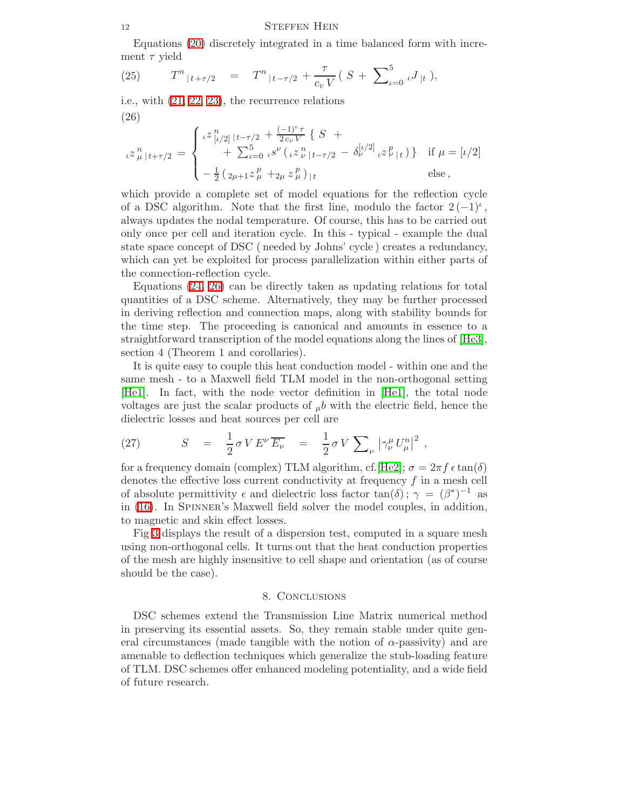Equations [\(20\)](#page-10-3) discretely integrated in a time balanced form with increment  $\tau$  yield

<span id="page-11-0"></span>(25) 
$$
T^{n}|_{t+\tau/2} = T^{n}|_{t-\tau/2} + \frac{\tau}{c_v V} (S + \sum_{\iota=0}^{5} \iota J_{|t}),
$$

i.e., with [\(21,](#page-10-4) [22,](#page-10-2) [23\)](#page-10-5), the recurrence relations (26)

$$
\iota z_{\mu}^{n}|_{t+\tau/2} = \begin{cases}\n\iota^{z}{}_{[\iota/2]}^{n}|_{t-\tau/2} + \frac{(-1)^{\iota}\tau}{2c_{\nu}V} \{ S + \\
\quad + \sum_{\iota=0}^{5} \iota^{s}{}_{\iota}(\iota z_{\nu}^{n}|_{t-\tau/2} - \delta_{\nu}^{[\iota/2]} \iota z_{\nu}^{p}|_{t}) \} & \text{if } \mu = [\iota/2] \\
-\frac{1}{2} \left( \frac{2}{2\mu+1} z_{\mu}^{p} + \frac{2}{2\mu} z_{\mu}^{p} \right)|_{t} & \text{else}\n\end{cases}
$$

which provide a complete set of model equations for the reflection cycle of a DSC algorithm. Note that the first line, modulo the factor  $2(-1)^i$ , always updates the nodal temperature. Of course, this has to be carried out only once per cell and iteration cycle. In this - typical - example the dual state space concept of DSC ( needed by Johns' cycle ) creates a redundancy, which can yet be exploited for process parallelization within either parts of the connection-reflection cycle.

Equations [\(24,](#page-10-6) [26\)](#page-11-0) can be directly taken as updating relations for total quantities of a DSC scheme. Alternatively, they may be further processed in deriving reflection and connection maps, along with stability bounds for the time step. The proceeding is canonical and amounts in essence to a straightforward transcription of the model equations along the lines of [\[He3\]](#page-13-0), section 4 (Theorem 1 and corollaries).

It is quite easy to couple this heat conduction model - within one and the same mesh - to a Maxwell field TLM model in the non-orthogonal setting [\[He1\]](#page-12-5). In fact, with the node vector definition in [\[He1\]](#page-12-5), the total node voltages are just the scalar products of  $_{\mu}b$  with the electric field, hence the dielectric losses and heat sources per cell are

(27) 
$$
S = \frac{1}{2} \sigma V E^{\nu} \overline{E_{\nu}} = \frac{1}{2} \sigma V \sum_{\nu} |\gamma_{\nu}^{\mu} U_{\mu}^{n}|^{2} ,
$$

for a frequency domain (complex) TLM algorithm, cf. [\[He2\]](#page-12-8);  $\sigma = 2\pi f \epsilon \tan(\delta)$ denotes the effective loss current conductivity at frequency f in a mesh cell of absolute permittivity  $\epsilon$  and dielectric loss factor  $tan(\delta)$ ;  $\gamma = (\beta^*)^{-1}$  as in [\(16\)](#page-9-2). In Spinner's Maxwell field solver the model couples, in addition, to magnetic and skin effect losses.

Fig [3](#page-12-9) displays the result of a dispersion test, computed in a square mesh using non-orthogonal cells. It turns out that the heat conduction properties of the mesh are highly insensitive to cell shape and orientation (as of course should be the case).

### 8. Conclusions

DSC schemes extend the Transmission Line Matrix numerical method in preserving its essential assets. So, they remain stable under quite general circumstances (made tangible with the notion of  $\alpha$ -passivity) and are amenable to deflection techniques which generalize the stub-loading feature of TLM. DSC schemes offer enhanced modeling potentiality, and a wide field of future research.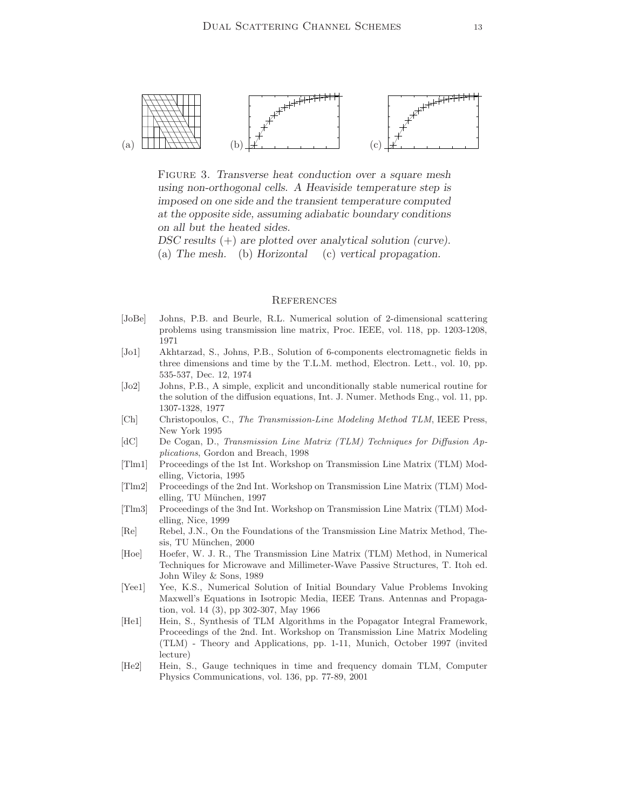

<span id="page-12-9"></span>FIGURE 3. Transverse heat conduction over a square mesh using non-orthogonal cells. A Heaviside temperature step is imposed on one side and the transient temperature computed at the opposite side, assuming adiabatic boundary conditions on all but the heated sides.

DSC results (+) are plotted over analytical solution (curve). (a) The mesh. (b) Horizontal (c) vertical propagation.

#### **REFERENCES**

- <span id="page-12-0"></span>[JoBe] Johns, P.B. and Beurle, R.L. Numerical solution of 2-dimensional scattering problems using transmission line matrix, Proc. IEEE, vol. 118, pp. 1203-1208, 1971
- <span id="page-12-1"></span>[Jo1] Akhtarzad, S., Johns, P.B., Solution of 6-components electromagnetic fields in three dimensions and time by the T.L.M. method, Electron. Lett., vol. 10, pp. 535-537, Dec. 12, 1974
- <span id="page-12-2"></span>[Jo2] Johns, P.B., A simple, explicit and unconditionally stable numerical routine for the solution of the diffusion equations, Int. J. Numer. Methods Eng., vol. 11, pp. 1307-1328, 1977
- <span id="page-12-6"></span><span id="page-12-3"></span>[Ch] Christopoulos, C., The Transmission-Line Modeling Method TLM, IEEE Press, New York 1995
- [dC] De Cogan, D., Transmission Line Matrix (TLM) Techniques for Diffusion Applications, Gordon and Breach, 1998
- [Tlm1] Proceedings of the 1st Int. Workshop on Transmission Line Matrix (TLM) Modelling, Victoria, 1995
- [Tlm2] Proceedings of the 2nd Int. Workshop on Transmission Line Matrix (TLM) Modelling, TU München, 1997
- <span id="page-12-7"></span>[Tlm3] Proceedings of the 3nd Int. Workshop on Transmission Line Matrix (TLM) Modelling, Nice, 1999
- [Re] Rebel, J.N., On the Foundations of the Transmission Line Matrix Method, Thesis, TU München, 2000
- <span id="page-12-4"></span>[Hoe] Hoefer, W. J. R., The Transmission Line Matrix (TLM) Method, in Numerical Techniques for Microwave and Millimeter-Wave Passive Structures, T. Itoh ed. John Wiley & Sons, 1989
- [Yee1] Yee, K.S., Numerical Solution of Initial Boundary Value Problems Invoking Maxwell's Equations in Isotropic Media, IEEE Trans. Antennas and Propagation, vol. 14 (3), pp 302-307, May 1966
- <span id="page-12-5"></span>[He1] Hein, S., Synthesis of TLM Algorithms in the Popagator Integral Framework, Proceedings of the 2nd. Int. Workshop on Transmission Line Matrix Modeling (TLM) - Theory and Applications, pp. 1-11, Munich, October 1997 (invited lecture)
- <span id="page-12-8"></span>[He2] Hein, S., Gauge techniques in time and frequency domain TLM, Computer Physics Communications, vol. 136, pp. 77-89, 2001